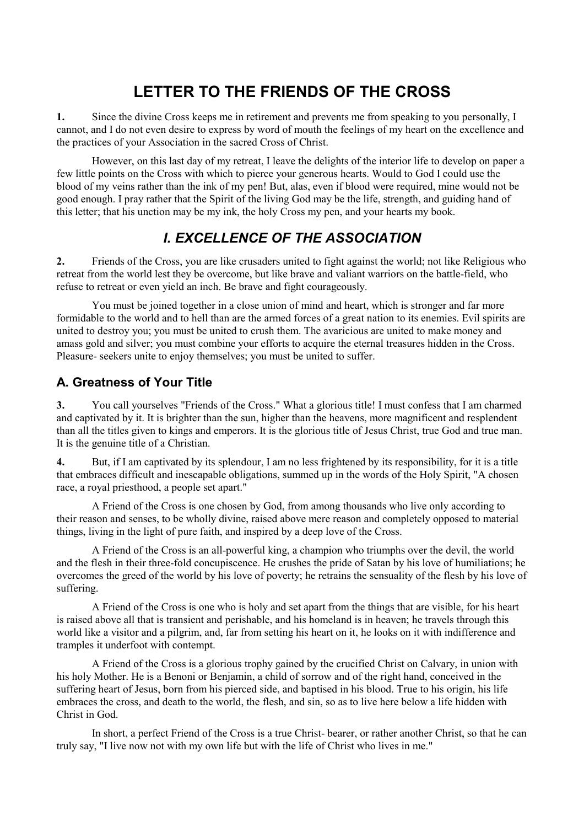# **LETTER TO THE FRIENDS OF THE CROSS**

**1.** Since the divine Cross keeps me in retirement and prevents me from speaking to you personally, I cannot, and I do not even desire to express by word of mouth the feelings of my heart on the excellence and the practices of your Association in the sacred Cross of Christ.

 However, on this last day of my retreat, I leave the delights of the interior life to develop on paper a few little points on the Cross with which to pierce your generous hearts. Would to God I could use the blood of my veins rather than the ink of my pen! But, alas, even if blood were required, mine would not be good enough. I pray rather that the Spirit of the living God may be the life, strength, and guiding hand of this letter; that his unction may be my ink, the holy Cross my pen, and your hearts my book.

# *I. EXCELLENCE OF THE ASSOCIATION*

**2.** Friends of the Cross, you are like crusaders united to fight against the world; not like Religious who retreat from the world lest they be overcome, but like brave and valiant warriors on the battle-field, who refuse to retreat or even yield an inch. Be brave and fight courageously.

 You must be joined together in a close union of mind and heart, which is stronger and far more formidable to the world and to hell than are the armed forces of a great nation to its enemies. Evil spirits are united to destroy you; you must be united to crush them. The avaricious are united to make money and amass gold and silver; you must combine your efforts to acquire the eternal treasures hidden in the Cross. Pleasure- seekers unite to enjoy themselves; you must be united to suffer.

### **A. Greatness of Your Title**

**3.** You call yourselves "Friends of the Cross." What a glorious title! I must confess that I am charmed and captivated by it. It is brighter than the sun, higher than the heavens, more magnificent and resplendent than all the titles given to kings and emperors. It is the glorious title of Jesus Christ, true God and true man. It is the genuine title of a Christian.

**4.** But, if I am captivated by its splendour, I am no less frightened by its responsibility, for it is a title that embraces difficult and inescapable obligations, summed up in the words of the Holy Spirit, "A chosen race, a royal priesthood, a people set apart."

 A Friend of the Cross is one chosen by God, from among thousands who live only according to their reason and senses, to be wholly divine, raised above mere reason and completely opposed to material things, living in the light of pure faith, and inspired by a deep love of the Cross.

 A Friend of the Cross is an all-powerful king, a champion who triumphs over the devil, the world and the flesh in their three-fold concupiscence. He crushes the pride of Satan by his love of humiliations; he overcomes the greed of the world by his love of poverty; he retrains the sensuality of the flesh by his love of suffering.

 A Friend of the Cross is one who is holy and set apart from the things that are visible, for his heart is raised above all that is transient and perishable, and his homeland is in heaven; he travels through this world like a visitor and a pilgrim, and, far from setting his heart on it, he looks on it with indifference and tramples it underfoot with contempt.

 A Friend of the Cross is a glorious trophy gained by the crucified Christ on Calvary, in union with his holy Mother. He is a Benoni or Benjamin, a child of sorrow and of the right hand, conceived in the suffering heart of Jesus, born from his pierced side, and baptised in his blood. True to his origin, his life embraces the cross, and death to the world, the flesh, and sin, so as to live here below a life hidden with Christ in God.

 In short, a perfect Friend of the Cross is a true Christ- bearer, or rather another Christ, so that he can truly say, "I live now not with my own life but with the life of Christ who lives in me."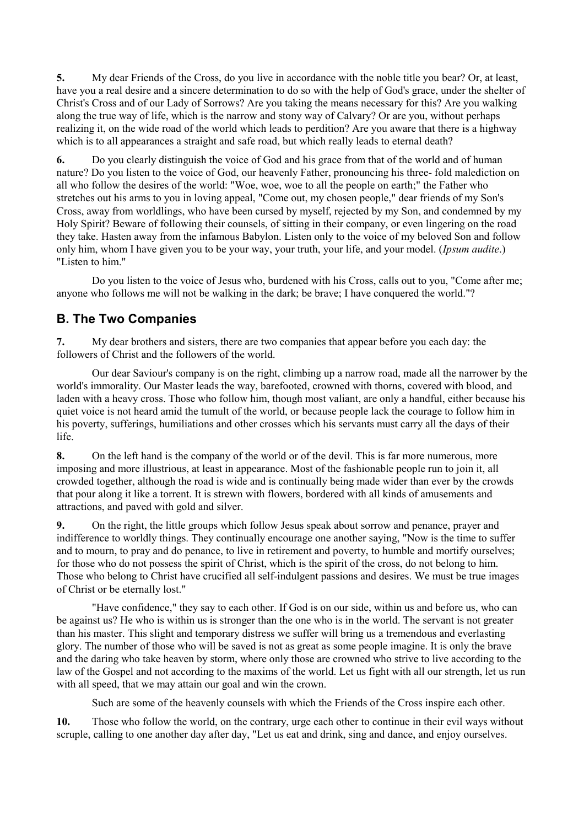**5.** My dear Friends of the Cross, do you live in accordance with the noble title you bear? Or, at least, have you a real desire and a sincere determination to do so with the help of God's grace, under the shelter of Christ's Cross and of our Lady of Sorrows? Are you taking the means necessary for this? Are you walking along the true way of life, which is the narrow and stony way of Calvary? Or are you, without perhaps realizing it, on the wide road of the world which leads to perdition? Are you aware that there is a highway which is to all appearances a straight and safe road, but which really leads to eternal death?

**6.** Do you clearly distinguish the voice of God and his grace from that of the world and of human nature? Do you listen to the voice of God, our heavenly Father, pronouncing his three- fold malediction on all who follow the desires of the world: "Woe, woe, woe to all the people on earth;" the Father who stretches out his arms to you in loving appeal, "Come out, my chosen people," dear friends of my Son's Cross, away from worldlings, who have been cursed by myself, rejected by my Son, and condemned by my Holy Spirit? Beware of following their counsels, of sitting in their company, or even lingering on the road they take. Hasten away from the infamous Babylon. Listen only to the voice of my beloved Son and follow only him, whom I have given you to be your way, your truth, your life, and your model. (*Ipsum audite*.) "Listen to him."

 Do you listen to the voice of Jesus who, burdened with his Cross, calls out to you, "Come after me; anyone who follows me will not be walking in the dark; be brave; I have conquered the world."?

### **B. The Two Companies**

**7.** My dear brothers and sisters, there are two companies that appear before you each day: the followers of Christ and the followers of the world.

 Our dear Saviour's company is on the right, climbing up a narrow road, made all the narrower by the world's immorality. Our Master leads the way, barefooted, crowned with thorns, covered with blood, and laden with a heavy cross. Those who follow him, though most valiant, are only a handful, either because his quiet voice is not heard amid the tumult of the world, or because people lack the courage to follow him in his poverty, sufferings, humiliations and other crosses which his servants must carry all the days of their life.

**8.** On the left hand is the company of the world or of the devil. This is far more numerous, more imposing and more illustrious, at least in appearance. Most of the fashionable people run to join it, all crowded together, although the road is wide and is continually being made wider than ever by the crowds that pour along it like a torrent. It is strewn with flowers, bordered with all kinds of amusements and attractions, and paved with gold and silver.

**9.** On the right, the little groups which follow Jesus speak about sorrow and penance, prayer and indifference to worldly things. They continually encourage one another saying, "Now is the time to suffer and to mourn, to pray and do penance, to live in retirement and poverty, to humble and mortify ourselves; for those who do not possess the spirit of Christ, which is the spirit of the cross, do not belong to him. Those who belong to Christ have crucified all self-indulgent passions and desires. We must be true images of Christ or be eternally lost."

 "Have confidence," they say to each other. If God is on our side, within us and before us, who can be against us? He who is within us is stronger than the one who is in the world. The servant is not greater than his master. This slight and temporary distress we suffer will bring us a tremendous and everlasting glory. The number of those who will be saved is not as great as some people imagine. It is only the brave and the daring who take heaven by storm, where only those are crowned who strive to live according to the law of the Gospel and not according to the maxims of the world. Let us fight with all our strength, let us run with all speed, that we may attain our goal and win the crown.

Such are some of the heavenly counsels with which the Friends of the Cross inspire each other.

**10.** Those who follow the world, on the contrary, urge each other to continue in their evil ways without scruple, calling to one another day after day, "Let us eat and drink, sing and dance, and enjoy ourselves.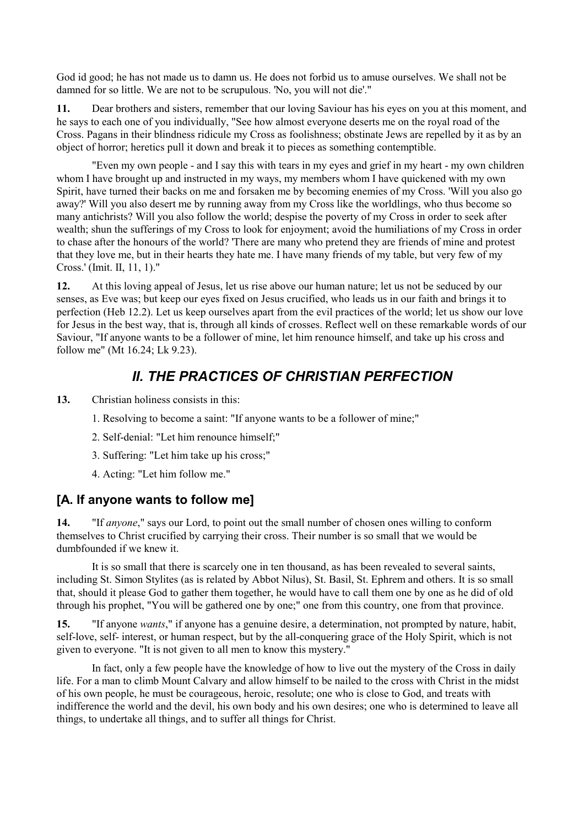God id good; he has not made us to damn us. He does not forbid us to amuse ourselves. We shall not be damned for so little. We are not to be scrupulous. 'No, you will not die'."

**11.** Dear brothers and sisters, remember that our loving Saviour has his eyes on you at this moment, and he says to each one of you individually, "See how almost everyone deserts me on the royal road of the Cross. Pagans in their blindness ridicule my Cross as foolishness; obstinate Jews are repelled by it as by an object of horror; heretics pull it down and break it to pieces as something contemptible.

 "Even my own people - and I say this with tears in my eyes and grief in my heart - my own children whom I have brought up and instructed in my ways, my members whom I have quickened with my own Spirit, have turned their backs on me and forsaken me by becoming enemies of my Cross. 'Will you also go away?' Will you also desert me by running away from my Cross like the worldlings, who thus become so many antichrists? Will you also follow the world; despise the poverty of my Cross in order to seek after wealth; shun the sufferings of my Cross to look for enjoyment; avoid the humiliations of my Cross in order to chase after the honours of the world? 'There are many who pretend they are friends of mine and protest that they love me, but in their hearts they hate me. I have many friends of my table, but very few of my Cross.' (Imit. II, 11, 1)."

**12.** At this loving appeal of Jesus, let us rise above our human nature; let us not be seduced by our senses, as Eve was; but keep our eyes fixed on Jesus crucified, who leads us in our faith and brings it to perfection (Heb 12.2). Let us keep ourselves apart from the evil practices of the world; let us show our love for Jesus in the best way, that is, through all kinds of crosses. Reflect well on these remarkable words of our Saviour, "If anyone wants to be a follower of mine, let him renounce himself, and take up his cross and follow me" (Mt 16.24; Lk 9.23).

## *II. THE PRACTICES OF CHRISTIAN PERFECTION*

**13.** Christian holiness consists in this:

- 1. Resolving to become a saint: "If anyone wants to be a follower of mine;"
- 2. Self-denial: "Let him renounce himself;"
- 3. Suffering: "Let him take up his cross;"
- 4. Acting: "Let him follow me."

### **[A. If anyone wants to follow me]**

**14.** "If *anyone*," says our Lord, to point out the small number of chosen ones willing to conform themselves to Christ crucified by carrying their cross. Their number is so small that we would be dumbfounded if we knew it.

 It is so small that there is scarcely one in ten thousand, as has been revealed to several saints, including St. Simon Stylites (as is related by Abbot Nilus), St. Basil, St. Ephrem and others. It is so small that, should it please God to gather them together, he would have to call them one by one as he did of old through his prophet, "You will be gathered one by one;" one from this country, one from that province.

**15.** "If anyone *wants*," if anyone has a genuine desire, a determination, not prompted by nature, habit, self-love, self- interest, or human respect, but by the all-conquering grace of the Holy Spirit, which is not given to everyone. "It is not given to all men to know this mystery."

 In fact, only a few people have the knowledge of how to live out the mystery of the Cross in daily life. For a man to climb Mount Calvary and allow himself to be nailed to the cross with Christ in the midst of his own people, he must be courageous, heroic, resolute; one who is close to God, and treats with indifference the world and the devil, his own body and his own desires; one who is determined to leave all things, to undertake all things, and to suffer all things for Christ.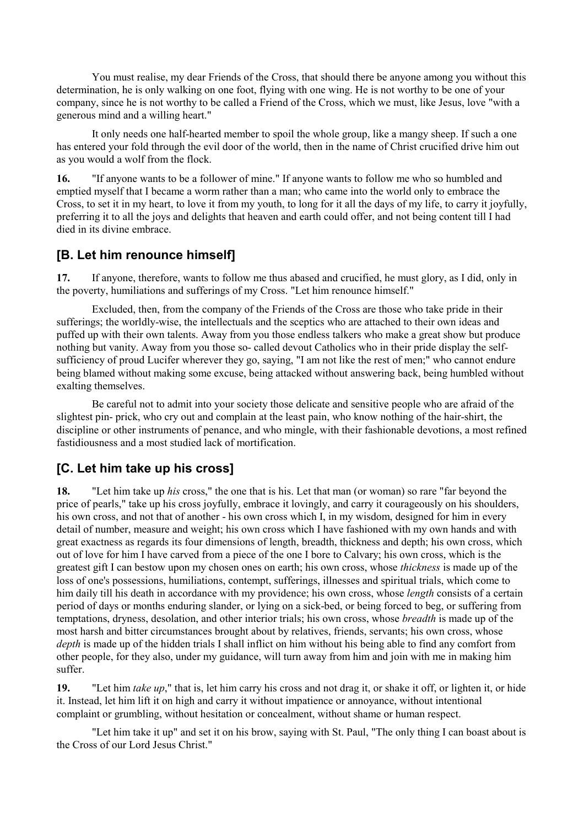You must realise, my dear Friends of the Cross, that should there be anyone among you without this determination, he is only walking on one foot, flying with one wing. He is not worthy to be one of your company, since he is not worthy to be called a Friend of the Cross, which we must, like Jesus, love "with a generous mind and a willing heart."

 It only needs one half-hearted member to spoil the whole group, like a mangy sheep. If such a one has entered your fold through the evil door of the world, then in the name of Christ crucified drive him out as you would a wolf from the flock.

**16.** "If anyone wants to be a follower of mine." If anyone wants to follow me who so humbled and emptied myself that I became a worm rather than a man; who came into the world only to embrace the Cross, to set it in my heart, to love it from my youth, to long for it all the days of my life, to carry it joyfully, preferring it to all the joys and delights that heaven and earth could offer, and not being content till I had died in its divine embrace.

### **[B. Let him renounce himself]**

**17.** If anyone, therefore, wants to follow me thus abased and crucified, he must glory, as I did, only in the poverty, humiliations and sufferings of my Cross. "Let him renounce himself."

 Excluded, then, from the company of the Friends of the Cross are those who take pride in their sufferings; the worldly-wise, the intellectuals and the sceptics who are attached to their own ideas and puffed up with their own talents. Away from you those endless talkers who make a great show but produce nothing but vanity. Away from you those so- called devout Catholics who in their pride display the selfsufficiency of proud Lucifer wherever they go, saying, "I am not like the rest of men;" who cannot endure being blamed without making some excuse, being attacked without answering back, being humbled without exalting themselves.

 Be careful not to admit into your society those delicate and sensitive people who are afraid of the slightest pin- prick, who cry out and complain at the least pain, who know nothing of the hair-shirt, the discipline or other instruments of penance, and who mingle, with their fashionable devotions, a most refined fastidiousness and a most studied lack of mortification.

## **[C. Let him take up his cross]**

**18.** "Let him take up *his* cross," the one that is his. Let that man (or woman) so rare "far beyond the price of pearls," take up his cross joyfully, embrace it lovingly, and carry it courageously on his shoulders, his own cross, and not that of another - his own cross which I, in my wisdom, designed for him in every detail of number, measure and weight; his own cross which I have fashioned with my own hands and with great exactness as regards its four dimensions of length, breadth, thickness and depth; his own cross, which out of love for him I have carved from a piece of the one I bore to Calvary; his own cross, which is the greatest gift I can bestow upon my chosen ones on earth; his own cross, whose *thickness* is made up of the loss of one's possessions, humiliations, contempt, sufferings, illnesses and spiritual trials, which come to him daily till his death in accordance with my providence; his own cross, whose *length* consists of a certain period of days or months enduring slander, or lying on a sick-bed, or being forced to beg, or suffering from temptations, dryness, desolation, and other interior trials; his own cross, whose *breadth* is made up of the most harsh and bitter circumstances brought about by relatives, friends, servants; his own cross, whose *depth* is made up of the hidden trials I shall inflict on him without his being able to find any comfort from other people, for they also, under my guidance, will turn away from him and join with me in making him suffer.

**19.** "Let him *take up*," that is, let him carry his cross and not drag it, or shake it off, or lighten it, or hide it. Instead, let him lift it on high and carry it without impatience or annoyance, without intentional complaint or grumbling, without hesitation or concealment, without shame or human respect.

 "Let him take it up" and set it on his brow, saying with St. Paul, "The only thing I can boast about is the Cross of our Lord Jesus Christ."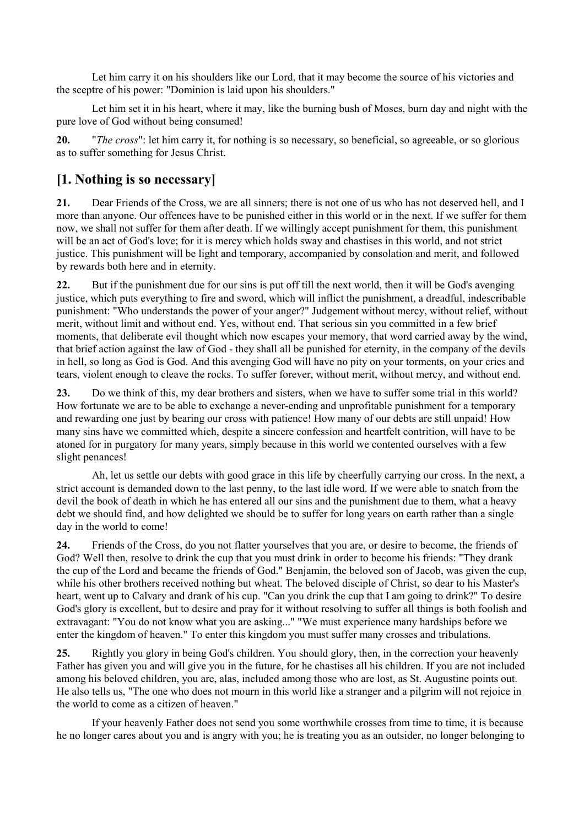Let him carry it on his shoulders like our Lord, that it may become the source of his victories and the sceptre of his power: "Dominion is laid upon his shoulders."

 Let him set it in his heart, where it may, like the burning bush of Moses, burn day and night with the pure love of God without being consumed!

**20.** "*The cross*": let him carry it, for nothing is so necessary, so beneficial, so agreeable, or so glorious as to suffer something for Jesus Christ.

### **[1. Nothing is so necessary]**

**21.** Dear Friends of the Cross, we are all sinners; there is not one of us who has not deserved hell, and I more than anyone. Our offences have to be punished either in this world or in the next. If we suffer for them now, we shall not suffer for them after death. If we willingly accept punishment for them, this punishment will be an act of God's love; for it is mercy which holds sway and chastises in this world, and not strict justice. This punishment will be light and temporary, accompanied by consolation and merit, and followed by rewards both here and in eternity.

22. But if the punishment due for our sins is put off till the next world, then it will be God's avenging justice, which puts everything to fire and sword, which will inflict the punishment, a dreadful, indescribable punishment: "Who understands the power of your anger?" Judgement without mercy, without relief, without merit, without limit and without end. Yes, without end. That serious sin you committed in a few brief moments, that deliberate evil thought which now escapes your memory, that word carried away by the wind, that brief action against the law of God - they shall all be punished for eternity, in the company of the devils in hell, so long as God is God. And this avenging God will have no pity on your torments, on your cries and tears, violent enough to cleave the rocks. To suffer forever, without merit, without mercy, and without end.

**23.** Do we think of this, my dear brothers and sisters, when we have to suffer some trial in this world? How fortunate we are to be able to exchange a never-ending and unprofitable punishment for a temporary and rewarding one just by bearing our cross with patience! How many of our debts are still unpaid! How many sins have we committed which, despite a sincere confession and heartfelt contrition, will have to be atoned for in purgatory for many years, simply because in this world we contented ourselves with a few slight penances!

 Ah, let us settle our debts with good grace in this life by cheerfully carrying our cross. In the next, a strict account is demanded down to the last penny, to the last idle word. If we were able to snatch from the devil the book of death in which he has entered all our sins and the punishment due to them, what a heavy debt we should find, and how delighted we should be to suffer for long years on earth rather than a single day in the world to come!

**24.** Friends of the Cross, do you not flatter yourselves that you are, or desire to become, the friends of God? Well then, resolve to drink the cup that you must drink in order to become his friends: "They drank the cup of the Lord and became the friends of God." Benjamin, the beloved son of Jacob, was given the cup, while his other brothers received nothing but wheat. The beloved disciple of Christ, so dear to his Master's heart, went up to Calvary and drank of his cup. "Can you drink the cup that I am going to drink?" To desire God's glory is excellent, but to desire and pray for it without resolving to suffer all things is both foolish and extravagant: "You do not know what you are asking..." "We must experience many hardships before we enter the kingdom of heaven." To enter this kingdom you must suffer many crosses and tribulations.

**25.** Rightly you glory in being God's children. You should glory, then, in the correction your heavenly Father has given you and will give you in the future, for he chastises all his children. If you are not included among his beloved children, you are, alas, included among those who are lost, as St. Augustine points out. He also tells us, "The one who does not mourn in this world like a stranger and a pilgrim will not rejoice in the world to come as a citizen of heaven."

 If your heavenly Father does not send you some worthwhile crosses from time to time, it is because he no longer cares about you and is angry with you; he is treating you as an outsider, no longer belonging to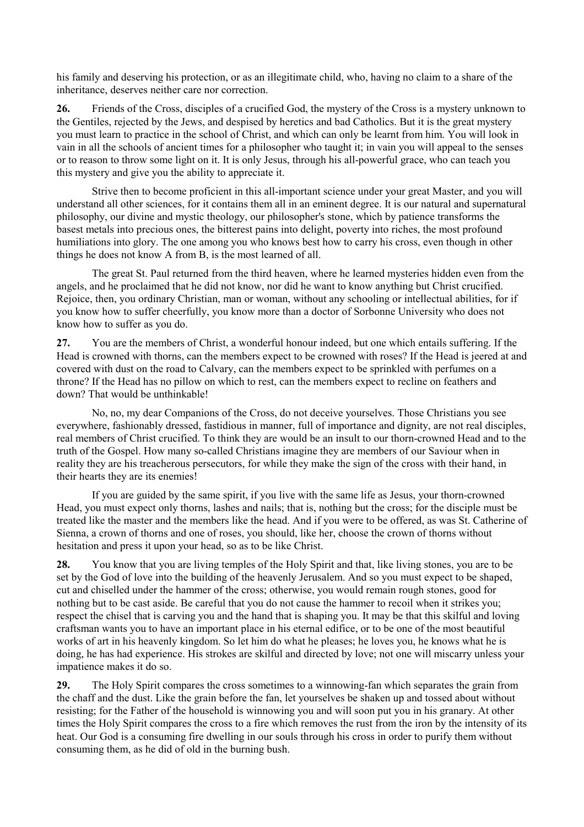his family and deserving his protection, or as an illegitimate child, who, having no claim to a share of the inheritance, deserves neither care nor correction.

**26.** Friends of the Cross, disciples of a crucified God, the mystery of the Cross is a mystery unknown to the Gentiles, rejected by the Jews, and despised by heretics and bad Catholics. But it is the great mystery you must learn to practice in the school of Christ, and which can only be learnt from him. You will look in vain in all the schools of ancient times for a philosopher who taught it; in vain you will appeal to the senses or to reason to throw some light on it. It is only Jesus, through his all-powerful grace, who can teach you this mystery and give you the ability to appreciate it.

 Strive then to become proficient in this all-important science under your great Master, and you will understand all other sciences, for it contains them all in an eminent degree. It is our natural and supernatural philosophy, our divine and mystic theology, our philosopher's stone, which by patience transforms the basest metals into precious ones, the bitterest pains into delight, poverty into riches, the most profound humiliations into glory. The one among you who knows best how to carry his cross, even though in other things he does not know A from B, is the most learned of all.

 The great St. Paul returned from the third heaven, where he learned mysteries hidden even from the angels, and he proclaimed that he did not know, nor did he want to know anything but Christ crucified. Rejoice, then, you ordinary Christian, man or woman, without any schooling or intellectual abilities, for if you know how to suffer cheerfully, you know more than a doctor of Sorbonne University who does not know how to suffer as you do.

**27.** You are the members of Christ, a wonderful honour indeed, but one which entails suffering. If the Head is crowned with thorns, can the members expect to be crowned with roses? If the Head is jeered at and covered with dust on the road to Calvary, can the members expect to be sprinkled with perfumes on a throne? If the Head has no pillow on which to rest, can the members expect to recline on feathers and down? That would be unthinkable!

 No, no, my dear Companions of the Cross, do not deceive yourselves. Those Christians you see everywhere, fashionably dressed, fastidious in manner, full of importance and dignity, are not real disciples, real members of Christ crucified. To think they are would be an insult to our thorn-crowned Head and to the truth of the Gospel. How many so-called Christians imagine they are members of our Saviour when in reality they are his treacherous persecutors, for while they make the sign of the cross with their hand, in their hearts they are its enemies!

 If you are guided by the same spirit, if you live with the same life as Jesus, your thorn-crowned Head, you must expect only thorns, lashes and nails; that is, nothing but the cross; for the disciple must be treated like the master and the members like the head. And if you were to be offered, as was St. Catherine of Sienna, a crown of thorns and one of roses, you should, like her, choose the crown of thorns without hesitation and press it upon your head, so as to be like Christ.

**28.** You know that you are living temples of the Holy Spirit and that, like living stones, you are to be set by the God of love into the building of the heavenly Jerusalem. And so you must expect to be shaped, cut and chiselled under the hammer of the cross; otherwise, you would remain rough stones, good for nothing but to be cast aside. Be careful that you do not cause the hammer to recoil when it strikes you; respect the chisel that is carving you and the hand that is shaping you. It may be that this skilful and loving craftsman wants you to have an important place in his eternal edifice, or to be one of the most beautiful works of art in his heavenly kingdom. So let him do what he pleases; he loves you, he knows what he is doing, he has had experience. His strokes are skilful and directed by love; not one will miscarry unless your impatience makes it do so.

**29.** The Holy Spirit compares the cross sometimes to a winnowing-fan which separates the grain from the chaff and the dust. Like the grain before the fan, let yourselves be shaken up and tossed about without resisting; for the Father of the household is winnowing you and will soon put you in his granary. At other times the Holy Spirit compares the cross to a fire which removes the rust from the iron by the intensity of its heat. Our God is a consuming fire dwelling in our souls through his cross in order to purify them without consuming them, as he did of old in the burning bush.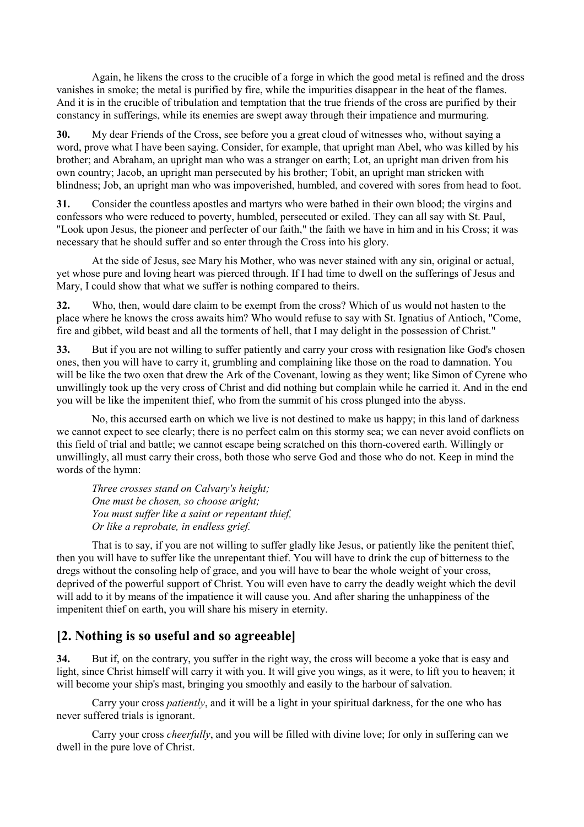Again, he likens the cross to the crucible of a forge in which the good metal is refined and the dross vanishes in smoke; the metal is purified by fire, while the impurities disappear in the heat of the flames. And it is in the crucible of tribulation and temptation that the true friends of the cross are purified by their constancy in sufferings, while its enemies are swept away through their impatience and murmuring.

**30.** My dear Friends of the Cross, see before you a great cloud of witnesses who, without saying a word, prove what I have been saying. Consider, for example, that upright man Abel, who was killed by his brother; and Abraham, an upright man who was a stranger on earth; Lot, an upright man driven from his own country; Jacob, an upright man persecuted by his brother; Tobit, an upright man stricken with blindness; Job, an upright man who was impoverished, humbled, and covered with sores from head to foot.

**31.** Consider the countless apostles and martyrs who were bathed in their own blood; the virgins and confessors who were reduced to poverty, humbled, persecuted or exiled. They can all say with St. Paul, "Look upon Jesus, the pioneer and perfecter of our faith," the faith we have in him and in his Cross; it was necessary that he should suffer and so enter through the Cross into his glory.

 At the side of Jesus, see Mary his Mother, who was never stained with any sin, original or actual, yet whose pure and loving heart was pierced through. If I had time to dwell on the sufferings of Jesus and Mary, I could show that what we suffer is nothing compared to theirs.

**32.** Who, then, would dare claim to be exempt from the cross? Which of us would not hasten to the place where he knows the cross awaits him? Who would refuse to say with St. Ignatius of Antioch, "Come, fire and gibbet, wild beast and all the torments of hell, that I may delight in the possession of Christ."

**33.** But if you are not willing to suffer patiently and carry your cross with resignation like God's chosen ones, then you will have to carry it, grumbling and complaining like those on the road to damnation. You will be like the two oxen that drew the Ark of the Covenant, lowing as they went; like Simon of Cyrene who unwillingly took up the very cross of Christ and did nothing but complain while he carried it. And in the end you will be like the impenitent thief, who from the summit of his cross plunged into the abyss.

 No, this accursed earth on which we live is not destined to make us happy; in this land of darkness we cannot expect to see clearly; there is no perfect calm on this stormy sea; we can never avoid conflicts on this field of trial and battle; we cannot escape being scratched on this thorn-covered earth. Willingly or unwillingly, all must carry their cross, both those who serve God and those who do not. Keep in mind the words of the hymn:

 *Three crosses stand on Calvary's height; One must be chosen, so choose aright; You must suffer like a saint or repentant thief, Or like a reprobate, in endless grief.* 

 That is to say, if you are not willing to suffer gladly like Jesus, or patiently like the penitent thief, then you will have to suffer like the unrepentant thief. You will have to drink the cup of bitterness to the dregs without the consoling help of grace, and you will have to bear the whole weight of your cross, deprived of the powerful support of Christ. You will even have to carry the deadly weight which the devil will add to it by means of the impatience it will cause you. And after sharing the unhappiness of the impenitent thief on earth, you will share his misery in eternity.

### **[2. Nothing is so useful and so agreeable]**

**34.** But if, on the contrary, you suffer in the right way, the cross will become a yoke that is easy and light, since Christ himself will carry it with you. It will give you wings, as it were, to lift you to heaven; it will become your ship's mast, bringing you smoothly and easily to the harbour of salvation.

 Carry your cross *patiently*, and it will be a light in your spiritual darkness, for the one who has never suffered trials is ignorant.

 Carry your cross *cheerfully*, and you will be filled with divine love; for only in suffering can we dwell in the pure love of Christ.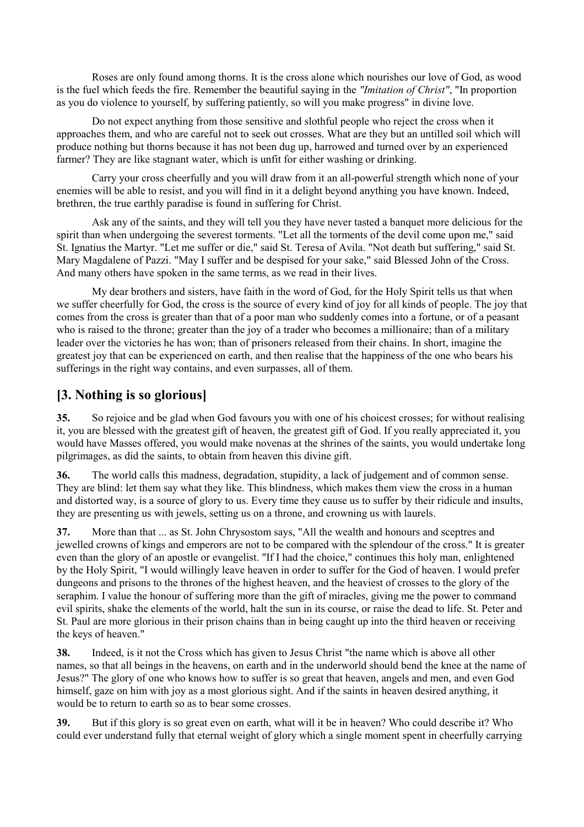Roses are only found among thorns. It is the cross alone which nourishes our love of God, as wood is the fuel which feeds the fire. Remember the beautiful saying in the *"Imitation of Christ"*, "In proportion as you do violence to yourself, by suffering patiently, so will you make progress" in divine love.

 Do not expect anything from those sensitive and slothful people who reject the cross when it approaches them, and who are careful not to seek out crosses. What are they but an untilled soil which will produce nothing but thorns because it has not been dug up, harrowed and turned over by an experienced farmer? They are like stagnant water, which is unfit for either washing or drinking.

 Carry your cross cheerfully and you will draw from it an all-powerful strength which none of your enemies will be able to resist, and you will find in it a delight beyond anything you have known. Indeed, brethren, the true earthly paradise is found in suffering for Christ.

 Ask any of the saints, and they will tell you they have never tasted a banquet more delicious for the spirit than when undergoing the severest torments. "Let all the torments of the devil come upon me," said St. Ignatius the Martyr. "Let me suffer or die," said St. Teresa of Avila. "Not death but suffering," said St. Mary Magdalene of Pazzi. "May I suffer and be despised for your sake," said Blessed John of the Cross. And many others have spoken in the same terms, as we read in their lives.

 My dear brothers and sisters, have faith in the word of God, for the Holy Spirit tells us that when we suffer cheerfully for God, the cross is the source of every kind of joy for all kinds of people. The joy that comes from the cross is greater than that of a poor man who suddenly comes into a fortune, or of a peasant who is raised to the throne; greater than the joy of a trader who becomes a millionaire; than of a military leader over the victories he has won; than of prisoners released from their chains. In short, imagine the greatest joy that can be experienced on earth, and then realise that the happiness of the one who bears his sufferings in the right way contains, and even surpasses, all of them.

## **[3. Nothing is so glorious]**

**35.** So rejoice and be glad when God favours you with one of his choicest crosses; for without realising it, you are blessed with the greatest gift of heaven, the greatest gift of God. If you really appreciated it, you would have Masses offered, you would make novenas at the shrines of the saints, you would undertake long pilgrimages, as did the saints, to obtain from heaven this divine gift.

**36.** The world calls this madness, degradation, stupidity, a lack of judgement and of common sense. They are blind: let them say what they like. This blindness, which makes them view the cross in a human and distorted way, is a source of glory to us. Every time they cause us to suffer by their ridicule and insults, they are presenting us with jewels, setting us on a throne, and crowning us with laurels.

**37.** More than that ... as St. John Chrysostom says, "All the wealth and honours and sceptres and jewelled crowns of kings and emperors are not to be compared with the splendour of the cross." It is greater even than the glory of an apostle or evangelist. "If I had the choice," continues this holy man, enlightened by the Holy Spirit, "I would willingly leave heaven in order to suffer for the God of heaven. I would prefer dungeons and prisons to the thrones of the highest heaven, and the heaviest of crosses to the glory of the seraphim. I value the honour of suffering more than the gift of miracles, giving me the power to command evil spirits, shake the elements of the world, halt the sun in its course, or raise the dead to life. St. Peter and St. Paul are more glorious in their prison chains than in being caught up into the third heaven or receiving the keys of heaven."

**38.** Indeed, is it not the Cross which has given to Jesus Christ "the name which is above all other names, so that all beings in the heavens, on earth and in the underworld should bend the knee at the name of Jesus?" The glory of one who knows how to suffer is so great that heaven, angels and men, and even God himself, gaze on him with joy as a most glorious sight. And if the saints in heaven desired anything, it would be to return to earth so as to bear some crosses.

**39.** But if this glory is so great even on earth, what will it be in heaven? Who could describe it? Who could ever understand fully that eternal weight of glory which a single moment spent in cheerfully carrying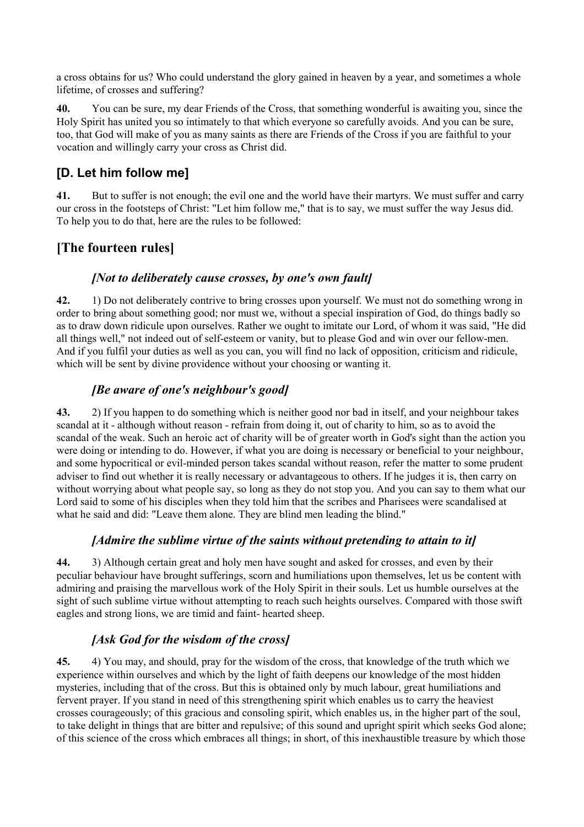a cross obtains for us? Who could understand the glory gained in heaven by a year, and sometimes a whole lifetime, of crosses and suffering?

**40.** You can be sure, my dear Friends of the Cross, that something wonderful is awaiting you, since the Holy Spirit has united you so intimately to that which everyone so carefully avoids. And you can be sure, too, that God will make of you as many saints as there are Friends of the Cross if you are faithful to your vocation and willingly carry your cross as Christ did.

### **[D. Let him follow me]**

**41.** But to suffer is not enough; the evil one and the world have their martyrs. We must suffer and carry our cross in the footsteps of Christ: "Let him follow me," that is to say, we must suffer the way Jesus did. To help you to do that, here are the rules to be followed:

## **[The fourteen rules]**

#### *[Not to deliberately cause crosses, by one's own fault]*

**42.** 1) Do not deliberately contrive to bring crosses upon yourself. We must not do something wrong in order to bring about something good; nor must we, without a special inspiration of God, do things badly so as to draw down ridicule upon ourselves. Rather we ought to imitate our Lord, of whom it was said, "He did all things well," not indeed out of self-esteem or vanity, but to please God and win over our fellow-men. And if you fulfil your duties as well as you can, you will find no lack of opposition, criticism and ridicule, which will be sent by divine providence without your choosing or wanting it.

### *[Be aware of one's neighbour's good]*

**43.** 2) If you happen to do something which is neither good nor bad in itself, and your neighbour takes scandal at it - although without reason - refrain from doing it, out of charity to him, so as to avoid the scandal of the weak. Such an heroic act of charity will be of greater worth in God's sight than the action you were doing or intending to do. However, if what you are doing is necessary or beneficial to your neighbour, and some hypocritical or evil-minded person takes scandal without reason, refer the matter to some prudent adviser to find out whether it is really necessary or advantageous to others. If he judges it is, then carry on without worrying about what people say, so long as they do not stop you. And you can say to them what our Lord said to some of his disciples when they told him that the scribes and Pharisees were scandalised at what he said and did: "Leave them alone. They are blind men leading the blind."

### *[Admire the sublime virtue of the saints without pretending to attain to it]*

**44.** 3) Although certain great and holy men have sought and asked for crosses, and even by their peculiar behaviour have brought sufferings, scorn and humiliations upon themselves, let us be content with admiring and praising the marvellous work of the Holy Spirit in their souls. Let us humble ourselves at the sight of such sublime virtue without attempting to reach such heights ourselves. Compared with those swift eagles and strong lions, we are timid and faint- hearted sheep.

### *[Ask God for the wisdom of the cross]*

**45.** 4) You may, and should, pray for the wisdom of the cross, that knowledge of the truth which we experience within ourselves and which by the light of faith deepens our knowledge of the most hidden mysteries, including that of the cross. But this is obtained only by much labour, great humiliations and fervent prayer. If you stand in need of this strengthening spirit which enables us to carry the heaviest crosses courageously; of this gracious and consoling spirit, which enables us, in the higher part of the soul, to take delight in things that are bitter and repulsive; of this sound and upright spirit which seeks God alone; of this science of the cross which embraces all things; in short, of this inexhaustible treasure by which those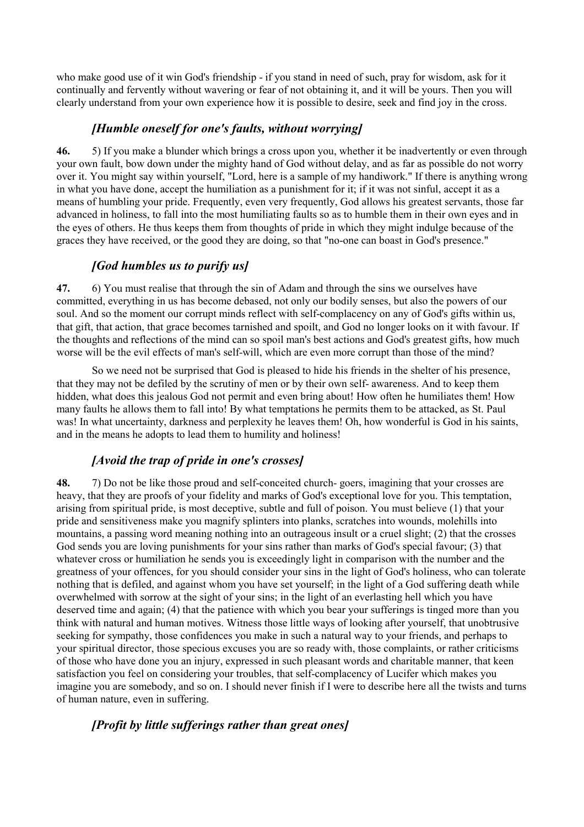who make good use of it win God's friendship - if you stand in need of such, pray for wisdom, ask for it continually and fervently without wavering or fear of not obtaining it, and it will be yours. Then you will clearly understand from your own experience how it is possible to desire, seek and find joy in the cross.

#### *[Humble oneself for one's faults, without worrying]*

**46.** 5) If you make a blunder which brings a cross upon you, whether it be inadvertently or even through your own fault, bow down under the mighty hand of God without delay, and as far as possible do not worry over it. You might say within yourself, "Lord, here is a sample of my handiwork." If there is anything wrong in what you have done, accept the humiliation as a punishment for it; if it was not sinful, accept it as a means of humbling your pride. Frequently, even very frequently, God allows his greatest servants, those far advanced in holiness, to fall into the most humiliating faults so as to humble them in their own eyes and in the eyes of others. He thus keeps them from thoughts of pride in which they might indulge because of the graces they have received, or the good they are doing, so that "no-one can boast in God's presence."

### *[God humbles us to purify us]*

**47.** 6) You must realise that through the sin of Adam and through the sins we ourselves have committed, everything in us has become debased, not only our bodily senses, but also the powers of our soul. And so the moment our corrupt minds reflect with self-complacency on any of God's gifts within us, that gift, that action, that grace becomes tarnished and spoilt, and God no longer looks on it with favour. If the thoughts and reflections of the mind can so spoil man's best actions and God's greatest gifts, how much worse will be the evil effects of man's self-will, which are even more corrupt than those of the mind?

 So we need not be surprised that God is pleased to hide his friends in the shelter of his presence, that they may not be defiled by the scrutiny of men or by their own self- awareness. And to keep them hidden, what does this jealous God not permit and even bring about! How often he humiliates them! How many faults he allows them to fall into! By what temptations he permits them to be attacked, as St. Paul was! In what uncertainty, darkness and perplexity he leaves them! Oh, how wonderful is God in his saints, and in the means he adopts to lead them to humility and holiness!

### *[Avoid the trap of pride in one's crosses]*

**48.** 7) Do not be like those proud and self-conceited church- goers, imagining that your crosses are heavy, that they are proofs of your fidelity and marks of God's exceptional love for you. This temptation, arising from spiritual pride, is most deceptive, subtle and full of poison. You must believe (1) that your pride and sensitiveness make you magnify splinters into planks, scratches into wounds, molehills into mountains, a passing word meaning nothing into an outrageous insult or a cruel slight; (2) that the crosses God sends you are loving punishments for your sins rather than marks of God's special favour; (3) that whatever cross or humiliation he sends you is exceedingly light in comparison with the number and the greatness of your offences, for you should consider your sins in the light of God's holiness, who can tolerate nothing that is defiled, and against whom you have set yourself; in the light of a God suffering death while overwhelmed with sorrow at the sight of your sins; in the light of an everlasting hell which you have deserved time and again; (4) that the patience with which you bear your sufferings is tinged more than you think with natural and human motives. Witness those little ways of looking after yourself, that unobtrusive seeking for sympathy, those confidences you make in such a natural way to your friends, and perhaps to your spiritual director, those specious excuses you are so ready with, those complaints, or rather criticisms of those who have done you an injury, expressed in such pleasant words and charitable manner, that keen satisfaction you feel on considering your troubles, that self-complacency of Lucifer which makes you imagine you are somebody, and so on. I should never finish if I were to describe here all the twists and turns of human nature, even in suffering.

### *[Profit by little sufferings rather than great ones]*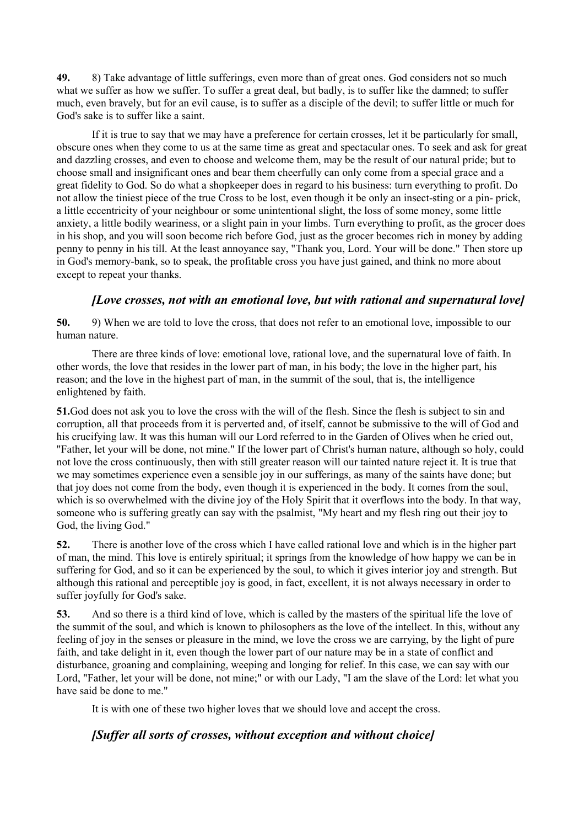**49.** 8) Take advantage of little sufferings, even more than of great ones. God considers not so much what we suffer as how we suffer. To suffer a great deal, but badly, is to suffer like the damned; to suffer much, even bravely, but for an evil cause, is to suffer as a disciple of the devil; to suffer little or much for God's sake is to suffer like a saint.

 If it is true to say that we may have a preference for certain crosses, let it be particularly for small, obscure ones when they come to us at the same time as great and spectacular ones. To seek and ask for great and dazzling crosses, and even to choose and welcome them, may be the result of our natural pride; but to choose small and insignificant ones and bear them cheerfully can only come from a special grace and a great fidelity to God. So do what a shopkeeper does in regard to his business: turn everything to profit. Do not allow the tiniest piece of the true Cross to be lost, even though it be only an insect-sting or a pin- prick, a little eccentricity of your neighbour or some unintentional slight, the loss of some money, some little anxiety, a little bodily weariness, or a slight pain in your limbs. Turn everything to profit, as the grocer does in his shop, and you will soon become rich before God, just as the grocer becomes rich in money by adding penny to penny in his till. At the least annoyance say, "Thank you, Lord. Your will be done." Then store up in God's memory-bank, so to speak, the profitable cross you have just gained, and think no more about except to repeat your thanks.

#### *[Love crosses, not with an emotional love, but with rational and supernatural love]*

**50.** 9) When we are told to love the cross, that does not refer to an emotional love, impossible to our human nature.

 There are three kinds of love: emotional love, rational love, and the supernatural love of faith. In other words, the love that resides in the lower part of man, in his body; the love in the higher part, his reason; and the love in the highest part of man, in the summit of the soul, that is, the intelligence enlightened by faith.

**51.**God does not ask you to love the cross with the will of the flesh. Since the flesh is subject to sin and corruption, all that proceeds from it is perverted and, of itself, cannot be submissive to the will of God and his crucifying law. It was this human will our Lord referred to in the Garden of Olives when he cried out, "Father, let your will be done, not mine." If the lower part of Christ's human nature, although so holy, could not love the cross continuously, then with still greater reason will our tainted nature reject it. It is true that we may sometimes experience even a sensible joy in our sufferings, as many of the saints have done; but that joy does not come from the body, even though it is experienced in the body. It comes from the soul, which is so overwhelmed with the divine joy of the Holy Spirit that it overflows into the body. In that way, someone who is suffering greatly can say with the psalmist, "My heart and my flesh ring out their joy to God, the living God."

**52.** There is another love of the cross which I have called rational love and which is in the higher part of man, the mind. This love is entirely spiritual; it springs from the knowledge of how happy we can be in suffering for God, and so it can be experienced by the soul, to which it gives interior joy and strength. But although this rational and perceptible joy is good, in fact, excellent, it is not always necessary in order to suffer joyfully for God's sake.

**53.** And so there is a third kind of love, which is called by the masters of the spiritual life the love of the summit of the soul, and which is known to philosophers as the love of the intellect. In this, without any feeling of joy in the senses or pleasure in the mind, we love the cross we are carrying, by the light of pure faith, and take delight in it, even though the lower part of our nature may be in a state of conflict and disturbance, groaning and complaining, weeping and longing for relief. In this case, we can say with our Lord, "Father, let your will be done, not mine;" or with our Lady, "I am the slave of the Lord: let what you have said be done to me."

It is with one of these two higher loves that we should love and accept the cross.

### *[Suffer all sorts of crosses, without exception and without choice]*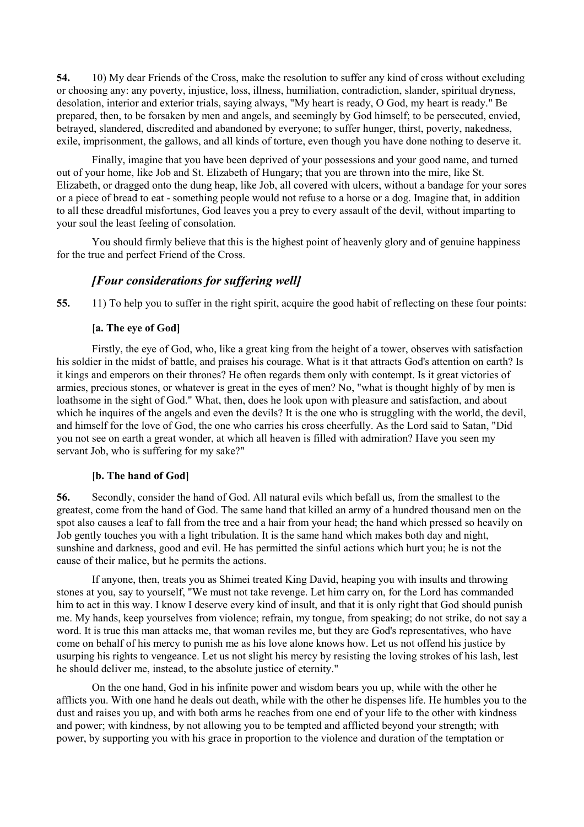**54.** 10) My dear Friends of the Cross, make the resolution to suffer any kind of cross without excluding or choosing any: any poverty, injustice, loss, illness, humiliation, contradiction, slander, spiritual dryness, desolation, interior and exterior trials, saying always, "My heart is ready, O God, my heart is ready." Be prepared, then, to be forsaken by men and angels, and seemingly by God himself; to be persecuted, envied, betrayed, slandered, discredited and abandoned by everyone; to suffer hunger, thirst, poverty, nakedness, exile, imprisonment, the gallows, and all kinds of torture, even though you have done nothing to deserve it.

 Finally, imagine that you have been deprived of your possessions and your good name, and turned out of your home, like Job and St. Elizabeth of Hungary; that you are thrown into the mire, like St. Elizabeth, or dragged onto the dung heap, like Job, all covered with ulcers, without a bandage for your sores or a piece of bread to eat - something people would not refuse to a horse or a dog. Imagine that, in addition to all these dreadful misfortunes, God leaves you a prey to every assault of the devil, without imparting to your soul the least feeling of consolation.

 You should firmly believe that this is the highest point of heavenly glory and of genuine happiness for the true and perfect Friend of the Cross.

#### *[Four considerations for suffering well]*

**55.** 11) To help you to suffer in the right spirit, acquire the good habit of reflecting on these four points:

#### **[a. The eye of God]**

 Firstly, the eye of God, who, like a great king from the height of a tower, observes with satisfaction his soldier in the midst of battle, and praises his courage. What is it that attracts God's attention on earth? Is it kings and emperors on their thrones? He often regards them only with contempt. Is it great victories of armies, precious stones, or whatever is great in the eyes of men? No, "what is thought highly of by men is loathsome in the sight of God." What, then, does he look upon with pleasure and satisfaction, and about which he inquires of the angels and even the devils? It is the one who is struggling with the world, the devil, and himself for the love of God, the one who carries his cross cheerfully. As the Lord said to Satan, "Did you not see on earth a great wonder, at which all heaven is filled with admiration? Have you seen my servant Job, who is suffering for my sake?"

#### **[b. The hand of God]**

**56.** Secondly, consider the hand of God. All natural evils which befall us, from the smallest to the greatest, come from the hand of God. The same hand that killed an army of a hundred thousand men on the spot also causes a leaf to fall from the tree and a hair from your head; the hand which pressed so heavily on Job gently touches you with a light tribulation. It is the same hand which makes both day and night, sunshine and darkness, good and evil. He has permitted the sinful actions which hurt you; he is not the cause of their malice, but he permits the actions.

 If anyone, then, treats you as Shimei treated King David, heaping you with insults and throwing stones at you, say to yourself, "We must not take revenge. Let him carry on, for the Lord has commanded him to act in this way. I know I deserve every kind of insult, and that it is only right that God should punish me. My hands, keep yourselves from violence; refrain, my tongue, from speaking; do not strike, do not say a word. It is true this man attacks me, that woman reviles me, but they are God's representatives, who have come on behalf of his mercy to punish me as his love alone knows how. Let us not offend his justice by usurping his rights to vengeance. Let us not slight his mercy by resisting the loving strokes of his lash, lest he should deliver me, instead, to the absolute justice of eternity."

 On the one hand, God in his infinite power and wisdom bears you up, while with the other he afflicts you. With one hand he deals out death, while with the other he dispenses life. He humbles you to the dust and raises you up, and with both arms he reaches from one end of your life to the other with kindness and power; with kindness, by not allowing you to be tempted and afflicted beyond your strength; with power, by supporting you with his grace in proportion to the violence and duration of the temptation or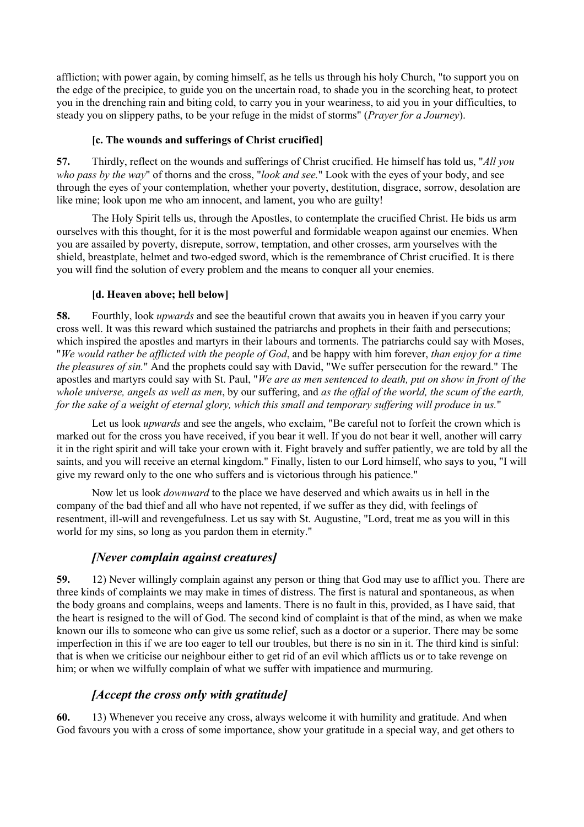affliction; with power again, by coming himself, as he tells us through his holy Church, "to support you on the edge of the precipice, to guide you on the uncertain road, to shade you in the scorching heat, to protect you in the drenching rain and biting cold, to carry you in your weariness, to aid you in your difficulties, to steady you on slippery paths, to be your refuge in the midst of storms" (*Prayer for a Journey*).

#### **[c. The wounds and sufferings of Christ crucified]**

**57.** Thirdly, reflect on the wounds and sufferings of Christ crucified. He himself has told us, "*All you who pass by the way*" of thorns and the cross, "*look and see.*" Look with the eyes of your body, and see through the eyes of your contemplation, whether your poverty, destitution, disgrace, sorrow, desolation are like mine; look upon me who am innocent, and lament, you who are guilty!

 The Holy Spirit tells us, through the Apostles, to contemplate the crucified Christ. He bids us arm ourselves with this thought, for it is the most powerful and formidable weapon against our enemies. When you are assailed by poverty, disrepute, sorrow, temptation, and other crosses, arm yourselves with the shield, breastplate, helmet and two-edged sword, which is the remembrance of Christ crucified. It is there you will find the solution of every problem and the means to conquer all your enemies.

#### **[d. Heaven above; hell below]**

**58.** Fourthly, look *upwards* and see the beautiful crown that awaits you in heaven if you carry your cross well. It was this reward which sustained the patriarchs and prophets in their faith and persecutions; which inspired the apostles and martyrs in their labours and torments. The patriarchs could say with Moses, "*We would rather be afflicted with the people of God*, and be happy with him forever, *than enjoy for a time the pleasures of sin.*" And the prophets could say with David, "We suffer persecution for the reward." The apostles and martyrs could say with St. Paul, "*We are as men sentenced to death, put on show in front of the whole universe, angels as well as men*, by our suffering, and *as the offal of the world, the scum of the earth, for the sake of a weight of eternal glory, which this small and temporary suffering will produce in us.*"

Let us look *upwards* and see the angels, who exclaim, "Be careful not to forfeit the crown which is marked out for the cross you have received, if you bear it well. If you do not bear it well, another will carry it in the right spirit and will take your crown with it. Fight bravely and suffer patiently, we are told by all the saints, and you will receive an eternal kingdom." Finally, listen to our Lord himself, who says to you, "I will give my reward only to the one who suffers and is victorious through his patience."

 Now let us look *downward* to the place we have deserved and which awaits us in hell in the company of the bad thief and all who have not repented, if we suffer as they did, with feelings of resentment, ill-will and revengefulness. Let us say with St. Augustine, "Lord, treat me as you will in this world for my sins, so long as you pardon them in eternity."

### *[Never complain against creatures]*

**59.** 12) Never willingly complain against any person or thing that God may use to afflict you. There are three kinds of complaints we may make in times of distress. The first is natural and spontaneous, as when the body groans and complains, weeps and laments. There is no fault in this, provided, as I have said, that the heart is resigned to the will of God. The second kind of complaint is that of the mind, as when we make known our ills to someone who can give us some relief, such as a doctor or a superior. There may be some imperfection in this if we are too eager to tell our troubles, but there is no sin in it. The third kind is sinful: that is when we criticise our neighbour either to get rid of an evil which afflicts us or to take revenge on him; or when we wilfully complain of what we suffer with impatience and murmuring.

### *[Accept the cross only with gratitude]*

**60.** 13) Whenever you receive any cross, always welcome it with humility and gratitude. And when God favours you with a cross of some importance, show your gratitude in a special way, and get others to